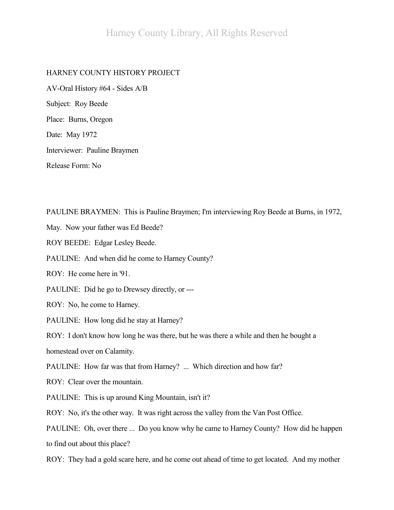## HARNEY COUNTY HISTORY PROJECT

AV-Oral History #64 - Sides A/B Subject: Roy Beede Place: Burns, Oregon Date: May 1972 Interviewer: Pauline Braymen Release Form: No

PAULINE BRAYMEN: This is Pauline Braymen; I'm interviewing Roy Beede at Burns, in 1972,

May. Now your father was Ed Beede?

ROY BEEDE: Edgar Lesley Beede.

PAULINE: And when did he come to Harney County?

ROY: He come here in '91.

PAULINE: Did he go to Drewsey directly, or ---

ROY: No, he come to Harney.

PAULINE: How long did he stay at Harney?

ROY: I don't know how long he was there, but he was there a while and then he bought a

homestead over on Calamity.

PAULINE: How far was that from Harney? ... Which direction and how far?

ROY: Clear over the mountain.

PAULINE: This is up around King Mountain, isn't it?

ROY: No, it's the other way. It was right across the valley from the Van Post Office.

PAULINE: Oh, over there ... Do you know why he came to Harney County? How did he happen to find out about this place?

ROY: They had a gold scare here, and he come out ahead of time to get located. And my mother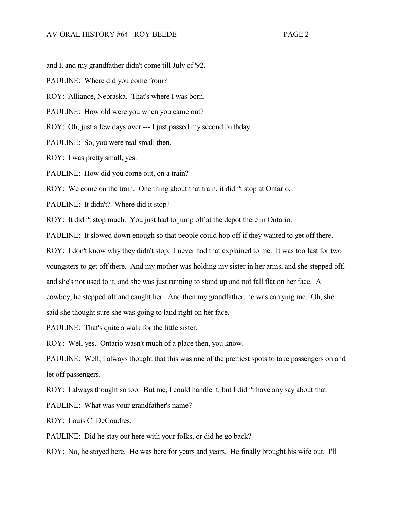and I, and my grandfather didn't come till July of '92.

PAULINE: Where did you come from?

ROY: Alliance, Nebraska. That's where I was born.

PAULINE: How old were you when you came out?

ROY: Oh, just a few days over --- I just passed my second birthday.

PAULINE: So, you were real small then.

ROY: I was pretty small, yes.

PAULINE: How did you come out, on a train?

ROY: We come on the train. One thing about that train, it didn't stop at Ontario.

PAULINE: It didn't? Where did it stop?

ROY: It didn't stop much. You just had to jump off at the depot there in Ontario.

PAULINE: It slowed down enough so that people could hop off if they wanted to get off there.

ROY: I don't know why they didn't stop. I never had that explained to me. It was too fast for two youngsters to get off there. And my mother was holding my sister in her arms, and she stepped off, and she's not used to it, and she was just running to stand up and not fall flat on her face. A cowboy, he stepped off and caught her. And then my grandfather, he was carrying me. Oh, she said she thought sure she was going to land right on her face.

PAULINE: That's quite a walk for the little sister.

ROY: Well yes. Ontario wasn't much of a place then, you know.

PAULINE: Well, I always thought that this was one of the prettiest spots to take passengers on and let off passengers.

ROY: I always thought so too. But me, I could handle it, but I didn't have any say about that.

PAULINE: What was your grandfather's name?

ROY: Louis C. DeCoudres.

PAULINE: Did he stay out here with your folks, or did he go back?

ROY: No, he stayed here. He was here for years and years. He finally brought his wife out. I'll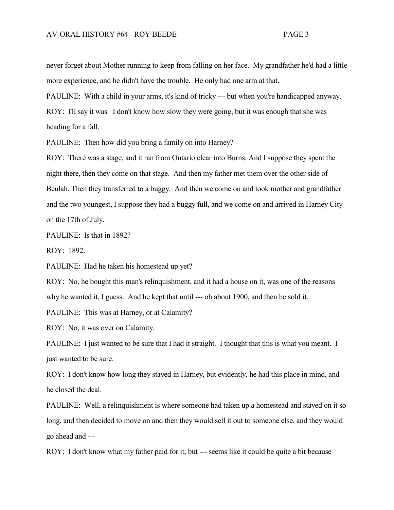never forget about Mother running to keep from falling on her face. My grandfather he'd had a little more experience, and he didn't have the trouble. He only had one arm at that.

PAULINE: With a child in your arms, it's kind of tricky --- but when you're handicapped anyway.

ROY: I'll say it was. I don't know how slow they were going, but it was enough that she was heading for a fall.

PAULINE: Then how did you bring a family on into Harney?

ROY: There was a stage, and it ran from Ontario clear into Burns. And I suppose they spent the night there, then they come on that stage. And then my father met them over the other side of Beulah. Then they transferred to a buggy. And then we come on and took mother and grandfather and the two youngest, I suppose they had a buggy full, and we come on and arrived in Harney City on the 17th of July.

PAULINE: Is that in 1892?

ROY: 1892.

PAULINE: Had he taken his homestead up yet?

ROY: No, he bought this man's relinquishment, and it had a house on it, was one of the reasons why he wanted it, I guess. And he kept that until --- oh about 1900, and then he sold it.

PAULINE: This was at Harney, or at Calamity?

ROY: No, it was over on Calamity.

PAULINE: I just wanted to be sure that I had it straight. I thought that this is what you meant. I just wanted to be sure.

ROY: I don't know how long they stayed in Harney, but evidently, he had this place in mind, and he closed the deal.

PAULINE: Well, a relinquishment is where someone had taken up a homestead and stayed on it so long, and then decided to move on and then they would sell it out to someone else, and they would go ahead and ---

ROY: I don't know what my father paid for it, but --- seems like it could be quite a bit because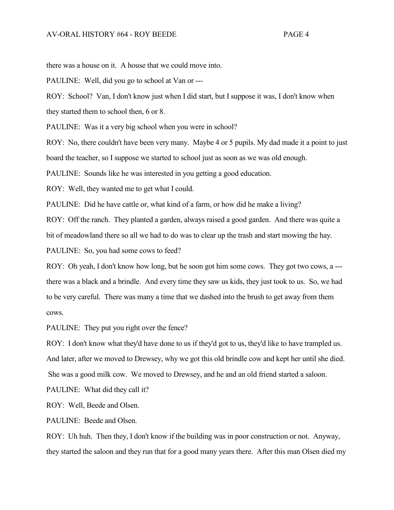there was a house on it. A house that we could move into.

PAULINE: Well, did you go to school at Van or ---

ROY: School? Van, I don't know just when I did start, but I suppose it was, I don't know when they started them to school then, 6 or 8.

PAULINE: Was it a very big school when you were in school?

ROY: No, there couldn't have been very many. Maybe 4 or 5 pupils. My dad made it a point to just board the teacher, so I suppose we started to school just as soon as we was old enough.

PAULINE: Sounds like he was interested in you getting a good education.

ROY: Well, they wanted me to get what I could.

PAULINE: Did he have cattle or, what kind of a farm, or how did he make a living?

ROY: Off the ranch. They planted a garden, always raised a good garden. And there was quite a bit of meadowland there so all we had to do was to clear up the trash and start mowing the hay.

PAULINE: So, you had some cows to feed?

ROY: Oh yeah, I don't know how long, but he soon got him some cows. They got two cows, a -- there was a black and a brindle. And every time they saw us kids, they just took to us. So, we had to be very careful. There was many a time that we dashed into the brush to get away from them cows.

PAULINE: They put you right over the fence?

ROY: I don't know what they'd have done to us if they'd got to us, they'd like to have trampled us. And later, after we moved to Drewsey, why we got this old brindle cow and kept her until she died. She was a good milk cow. We moved to Drewsey, and he and an old friend started a saloon.

PAULINE: What did they call it?

ROY: Well, Beede and Olsen.

PAULINE: Beede and Olsen.

ROY: Uh huh. Then they, I don't know if the building was in poor construction or not. Anyway, they started the saloon and they run that for a good many years there. After this man Olsen died my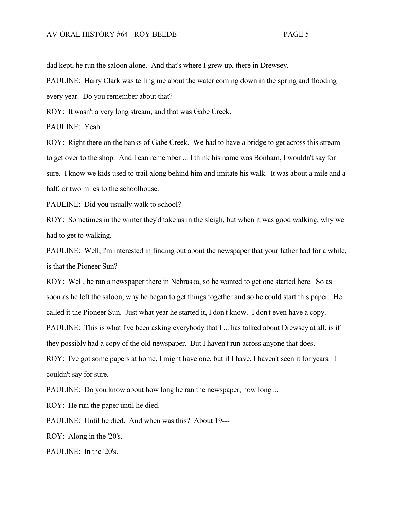dad kept, he run the saloon alone. And that's where I grew up, there in Drewsey.

PAULINE: Harry Clark was telling me about the water coming down in the spring and flooding every year. Do you remember about that?

ROY: It wasn't a very long stream, and that was Gabe Creek.

PAULINE: Yeah.

ROY: Right there on the banks of Gabe Creek. We had to have a bridge to get across this stream to get over to the shop. And I can remember ... I think his name was Bonham, I wouldn't say for sure. I know we kids used to trail along behind him and imitate his walk. It was about a mile and a half, or two miles to the schoolhouse.

PAULINE: Did you usually walk to school?

ROY: Sometimes in the winter they'd take us in the sleigh, but when it was good walking, why we had to get to walking.

PAULINE: Well, I'm interested in finding out about the newspaper that your father had for a while, is that the Pioneer Sun?

ROY: Well, he ran a newspaper there in Nebraska, so he wanted to get one started here. So as soon as he left the saloon, why he began to get things together and so he could start this paper. He called it the Pioneer Sun. Just what year he started it, I don't know. I don't even have a copy. PAULINE: This is what I've been asking everybody that I ... has talked about Drewsey at all, is if they possibly had a copy of the old newspaper. But I haven't run across anyone that does. ROY: I've got some papers at home, I might have one, but if I have, I haven't seen it for years. I couldn't say for sure.

PAULINE: Do you know about how long he ran the newspaper, how long ...

ROY: He run the paper until he died.

PAULINE: Until he died. And when was this? About 19---

ROY: Along in the '20's.

PAULINE: In the '20's.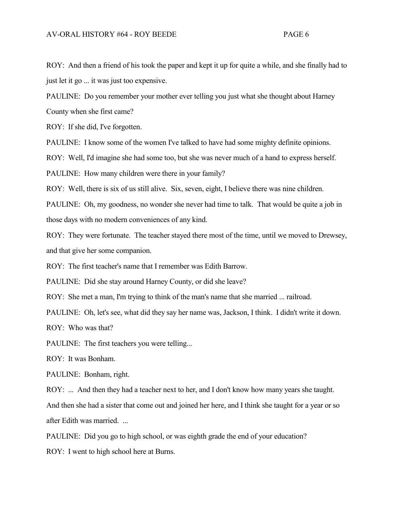ROY: And then a friend of his took the paper and kept it up for quite a while, and she finally had to just let it go ... it was just too expensive.

PAULINE: Do you remember your mother ever telling you just what she thought about Harney

County when she first came?

ROY: If she did, I've forgotten.

PAULINE: I know some of the women I've talked to have had some mighty definite opinions.

ROY: Well, I'd imagine she had some too, but she was never much of a hand to express herself.

PAULINE: How many children were there in your family?

ROY: Well, there is six of us still alive. Six, seven, eight, I believe there was nine children.

PAULINE: Oh, my goodness, no wonder she never had time to talk. That would be quite a job in those days with no modern conveniences of any kind.

ROY: They were fortunate. The teacher stayed there most of the time, until we moved to Drewsey, and that give her some companion.

ROY: The first teacher's name that I remember was Edith Barrow.

PAULINE: Did she stay around Harney County, or did she leave?

ROY: She met a man, I'm trying to think of the man's name that she married ... railroad.

PAULINE: Oh, let's see, what did they say her name was, Jackson, I think. I didn't write it down.

ROY: Who was that?

PAULINE: The first teachers you were telling...

ROY: It was Bonham.

PAULINE: Bonham, right.

ROY: ... And then they had a teacher next to her, and I don't know how many years she taught.

And then she had a sister that come out and joined her here, and I think she taught for a year or so after Edith was married. ...

PAULINE: Did you go to high school, or was eighth grade the end of your education?

ROY: I went to high school here at Burns.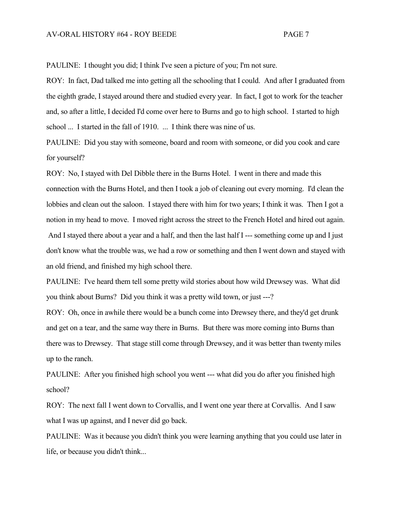PAULINE: I thought you did; I think I've seen a picture of you; I'm not sure.

ROY: In fact, Dad talked me into getting all the schooling that I could. And after I graduated from the eighth grade, I stayed around there and studied every year. In fact, I got to work for the teacher and, so after a little, I decided I'd come over here to Burns and go to high school. I started to high school ... I started in the fall of 1910. ... I think there was nine of us.

PAULINE: Did you stay with someone, board and room with someone, or did you cook and care for yourself?

ROY: No, I stayed with Del Dibble there in the Burns Hotel. I went in there and made this connection with the Burns Hotel, and then I took a job of cleaning out every morning. I'd clean the lobbies and clean out the saloon. I stayed there with him for two years; I think it was. Then I got a notion in my head to move. I moved right across the street to the French Hotel and hired out again. And I stayed there about a year and a half, and then the last half I --- something come up and I just don't know what the trouble was, we had a row or something and then I went down and stayed with an old friend, and finished my high school there.

PAULINE: I've heard them tell some pretty wild stories about how wild Drewsey was. What did you think about Burns? Did you think it was a pretty wild town, or just ---?

ROY: Oh, once in awhile there would be a bunch come into Drewsey there, and they'd get drunk and get on a tear, and the same way there in Burns. But there was more coming into Burns than there was to Drewsey. That stage still come through Drewsey, and it was better than twenty miles up to the ranch.

PAULINE: After you finished high school you went --- what did you do after you finished high school?

ROY: The next fall I went down to Corvallis, and I went one year there at Corvallis. And I saw what I was up against, and I never did go back.

PAULINE: Was it because you didn't think you were learning anything that you could use later in life, or because you didn't think...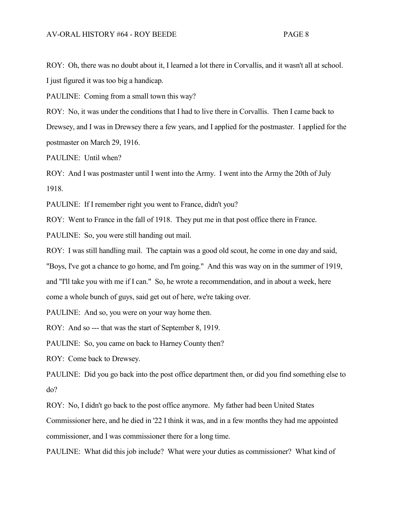ROY: Oh, there was no doubt about it, I learned a lot there in Corvallis, and it wasn't all at school. I just figured it was too big a handicap.

PAULINE: Coming from a small town this way?

ROY: No, it was under the conditions that I had to live there in Corvallis. Then I came back to Drewsey, and I was in Drewsey there a few years, and I applied for the postmaster. I applied for the postmaster on March 29, 1916.

PAULINE: Until when?

ROY: And I was postmaster until I went into the Army. I went into the Army the 20th of July 1918.

PAULINE: If I remember right you went to France, didn't you?

ROY: Went to France in the fall of 1918. They put me in that post office there in France.

PAULINE: So, you were still handing out mail.

ROY: I was still handling mail. The captain was a good old scout, he come in one day and said,

"Boys, I've got a chance to go home, and I'm going." And this was way on in the summer of 1919,

and "I'll take you with me if I can." So, he wrote a recommendation, and in about a week, here

come a whole bunch of guys, said get out of here, we're taking over.

PAULINE: And so, you were on your way home then.

ROY: And so --- that was the start of September 8, 1919.

PAULINE: So, you came on back to Harney County then?

ROY: Come back to Drewsey.

PAULINE: Did you go back into the post office department then, or did you find something else to do?

ROY: No, I didn't go back to the post office anymore. My father had been United States

Commissioner here, and he died in '22 I think it was, and in a few months they had me appointed commissioner, and I was commissioner there for a long time.

PAULINE: What did this job include? What were your duties as commissioner? What kind of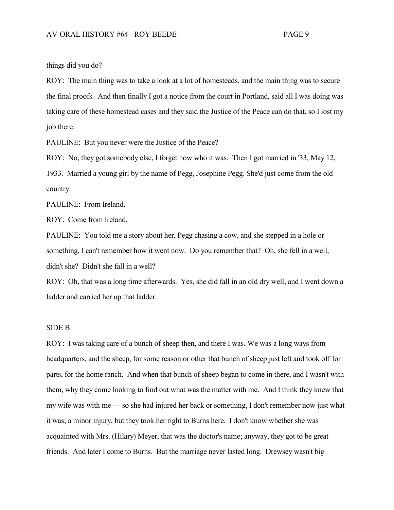things did you do?

ROY: The main thing was to take a look at a lot of homesteads, and the main thing was to secure the final proofs. And then finally I got a notice from the court in Portland, said all I was doing was taking care of these homestead cases and they said the Justice of the Peace can do that, so I lost my job there.

PAULINE: But you never were the Justice of the Peace?

ROY: No, they got somebody else, I forget now who it was. Then I got married in '33, May 12, 1933. Married a young girl by the name of Pegg, Josephine Pegg. She'd just come from the old country.

PAULINE: From Ireland.

ROY: Come from Ireland.

PAULINE: You told me a story about her, Pegg chasing a cow, and she stepped in a hole or something, I can't remember how it went now. Do you remember that? Oh, she fell in a well, didn't she? Didn't she fall in a well?

ROY: Oh, that was a long time afterwards. Yes, she did fall in an old dry well, and I went down a ladder and carried her up that ladder.

## SIDE B

ROY: I was taking care of a bunch of sheep then, and there I was. We was a long ways from headquarters, and the sheep, for some reason or other that bunch of sheep just left and took off for parts, for the home ranch. And when that bunch of sheep began to come in there, and I wasn't with them, why they come looking to find out what was the matter with me. And I think they knew that my wife was with me --- so she had injured her back or something, I don't remember now just what it was; a minor injury, but they took her right to Burns here. I don't know whether she was acquainted with Mrs. (Hilary) Meyer, that was the doctor's name; anyway, they got to be great friends. And later I come to Burns. But the marriage never lasted long. Drewsey wasn't big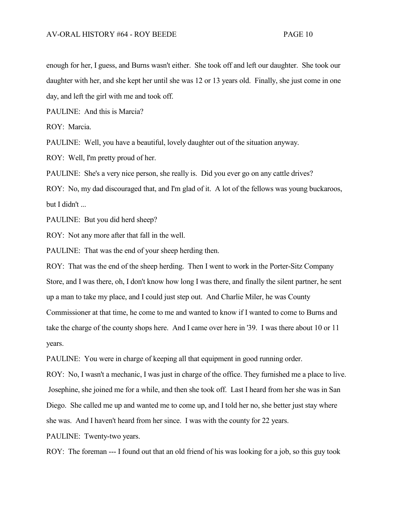enough for her, I guess, and Burns wasn't either. She took off and left our daughter. She took our daughter with her, and she kept her until she was 12 or 13 years old. Finally, she just come in one day, and left the girl with me and took off.

PAULINE: And this is Marcia?

ROY: Marcia.

PAULINE: Well, you have a beautiful, lovely daughter out of the situation anyway.

ROY: Well, I'm pretty proud of her.

PAULINE: She's a very nice person, she really is. Did you ever go on any cattle drives?

ROY: No, my dad discouraged that, and I'm glad of it. A lot of the fellows was young buckaroos, but I didn't ...

PAULINE: But you did herd sheep?

ROY: Not any more after that fall in the well.

PAULINE: That was the end of your sheep herding then.

ROY: That was the end of the sheep herding. Then I went to work in the Porter-Sitz Company Store, and I was there, oh, I don't know how long I was there, and finally the silent partner, he sent up a man to take my place, and I could just step out. And Charlie Miler, he was County Commissioner at that time, he come to me and wanted to know if I wanted to come to Burns and take the charge of the county shops here. And I came over here in '39. I was there about 10 or 11 years.

PAULINE: You were in charge of keeping all that equipment in good running order.

ROY: No, I wasn't a mechanic, I was just in charge of the office. They furnished me a place to live. Josephine, she joined me for a while, and then she took off. Last I heard from her she was in San Diego. She called me up and wanted me to come up, and I told her no, she better just stay where she was. And I haven't heard from her since. I was with the county for 22 years.

PAULINE: Twenty-two years.

ROY: The foreman --- I found out that an old friend of his was looking for a job, so this guy took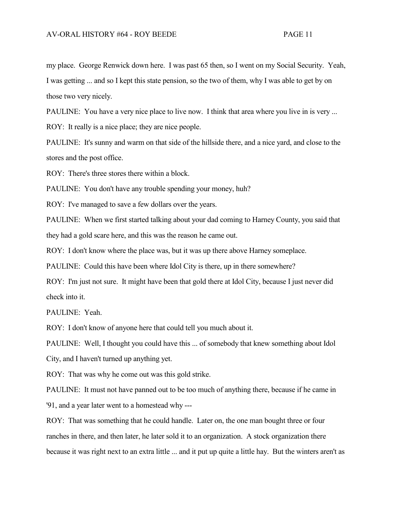my place. George Renwick down here. I was past 65 then, so I went on my Social Security. Yeah, I was getting ... and so I kept this state pension, so the two of them, why I was able to get by on those two very nicely.

PAULINE: You have a very nice place to live now. I think that area where you live in is very ... ROY: It really is a nice place; they are nice people.

PAULINE: It's sunny and warm on that side of the hillside there, and a nice yard, and close to the stores and the post office.

ROY: There's three stores there within a block.

PAULINE: You don't have any trouble spending your money, huh?

ROY: I've managed to save a few dollars over the years.

PAULINE: When we first started talking about your dad coming to Harney County, you said that they had a gold scare here, and this was the reason he came out.

ROY: I don't know where the place was, but it was up there above Harney someplace.

PAULINE: Could this have been where Idol City is there, up in there somewhere?

ROY: I'm just not sure. It might have been that gold there at Idol City, because I just never did check into it.

PAULINE: Yeah.

ROY: I don't know of anyone here that could tell you much about it.

PAULINE: Well, I thought you could have this ... of somebody that knew something about Idol City, and I haven't turned up anything yet.

ROY: That was why he come out was this gold strike.

PAULINE: It must not have panned out to be too much of anything there, because if he came in '91, and a year later went to a homestead why ---

ROY: That was something that he could handle. Later on, the one man bought three or four ranches in there, and then later, he later sold it to an organization. A stock organization there because it was right next to an extra little ... and it put up quite a little hay. But the winters aren't as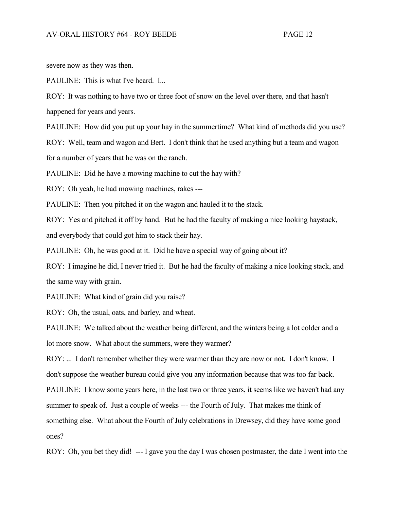severe now as they was then.

PAULINE: This is what I've heard. I...

ROY: It was nothing to have two or three foot of snow on the level over there, and that hasn't happened for years and years.

PAULINE: How did you put up your hay in the summertime? What kind of methods did you use? ROY: Well, team and wagon and Bert. I don't think that he used anything but a team and wagon for a number of years that he was on the ranch.

PAULINE: Did he have a mowing machine to cut the hay with?

ROY: Oh yeah, he had mowing machines, rakes ---

PAULINE: Then you pitched it on the wagon and hauled it to the stack.

ROY: Yes and pitched it off by hand. But he had the faculty of making a nice looking haystack, and everybody that could got him to stack their hay.

PAULINE: Oh, he was good at it. Did he have a special way of going about it?

ROY: I imagine he did, I never tried it. But he had the faculty of making a nice looking stack, and the same way with grain.

PAULINE: What kind of grain did you raise?

ROY: Oh, the usual, oats, and barley, and wheat.

PAULINE: We talked about the weather being different, and the winters being a lot colder and a lot more snow. What about the summers, were they warmer?

ROY: ... I don't remember whether they were warmer than they are now or not. I don't know. I don't suppose the weather bureau could give you any information because that was too far back.

PAULINE: I know some years here, in the last two or three years, it seems like we haven't had any

summer to speak of. Just a couple of weeks --- the Fourth of July. That makes me think of

something else. What about the Fourth of July celebrations in Drewsey, did they have some good ones?

ROY: Oh, you bet they did! --- I gave you the day I was chosen postmaster, the date I went into the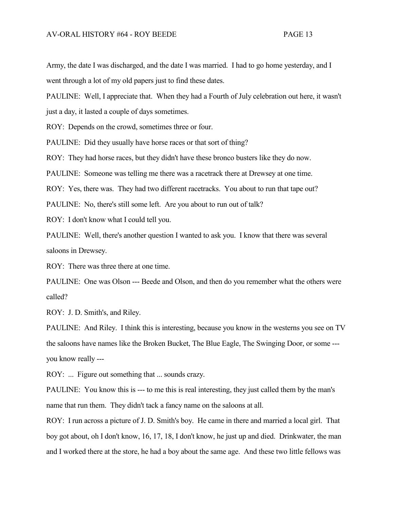Army, the date I was discharged, and the date I was married. I had to go home yesterday, and I went through a lot of my old papers just to find these dates.

PAULINE: Well, I appreciate that. When they had a Fourth of July celebration out here, it wasn't just a day, it lasted a couple of days sometimes.

ROY: Depends on the crowd, sometimes three or four.

PAULINE: Did they usually have horse races or that sort of thing?

ROY: They had horse races, but they didn't have these bronco busters like they do now.

PAULINE: Someone was telling me there was a racetrack there at Drewsey at one time.

ROY: Yes, there was. They had two different racetracks. You about to run that tape out?

PAULINE: No, there's still some left. Are you about to run out of talk?

ROY: I don't know what I could tell you.

PAULINE: Well, there's another question I wanted to ask you. I know that there was several saloons in Drewsey.

ROY: There was three there at one time.

PAULINE: One was Olson --- Beede and Olson, and then do you remember what the others were called?

ROY: J. D. Smith's, and Riley.

PAULINE: And Riley. I think this is interesting, because you know in the westerns you see on TV the saloons have names like the Broken Bucket, The Blue Eagle, The Swinging Door, or some -- you know really ---

ROY: ... Figure out something that ... sounds crazy.

PAULINE: You know this is --- to me this is real interesting, they just called them by the man's name that run them. They didn't tack a fancy name on the saloons at all.

ROY: I run across a picture of J. D. Smith's boy. He came in there and married a local girl. That boy got about, oh I don't know, 16, 17, 18, I don't know, he just up and died. Drinkwater, the man and I worked there at the store, he had a boy about the same age. And these two little fellows was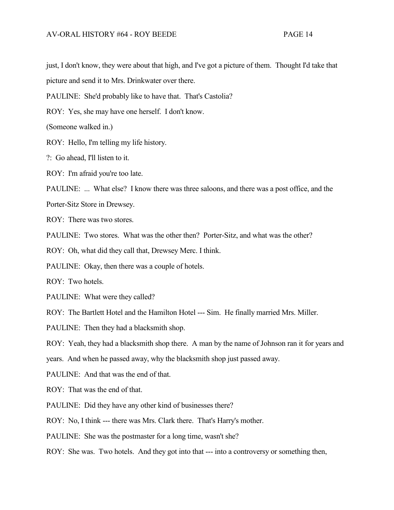just, I don't know, they were about that high, and I've got a picture of them. Thought I'd take that

picture and send it to Mrs. Drinkwater over there.

PAULINE: She'd probably like to have that. That's Castolia?

ROY: Yes, she may have one herself. I don't know.

(Someone walked in.)

ROY: Hello, I'm telling my life history.

?: Go ahead, I'll listen to it.

ROY: I'm afraid you're too late.

PAULINE: ... What else? I know there was three saloons, and there was a post office, and the

Porter-Sitz Store in Drewsey.

 $ROY:$  There was two stores.

PAULINE: Two stores. What was the other then? Porter-Sitz, and what was the other?

ROY: Oh, what did they call that, Drewsey Merc. I think.

PAULINE: Okay, then there was a couple of hotels.

ROY: Two hotels.

PAULINE: What were they called?

ROY: The Bartlett Hotel and the Hamilton Hotel --- Sim. He finally married Mrs. Miller.

PAULINE: Then they had a blacksmith shop.

ROY: Yeah, they had a blacksmith shop there. A man by the name of Johnson ran it for years and

years. And when he passed away, why the blacksmith shop just passed away.

PAULINE: And that was the end of that.

ROY: That was the end of that.

PAULINE: Did they have any other kind of businesses there?

ROY: No, I think --- there was Mrs. Clark there. That's Harry's mother.

PAULINE: She was the postmaster for a long time, wasn't she?

ROY: She was. Two hotels. And they got into that --- into a controversy or something then,